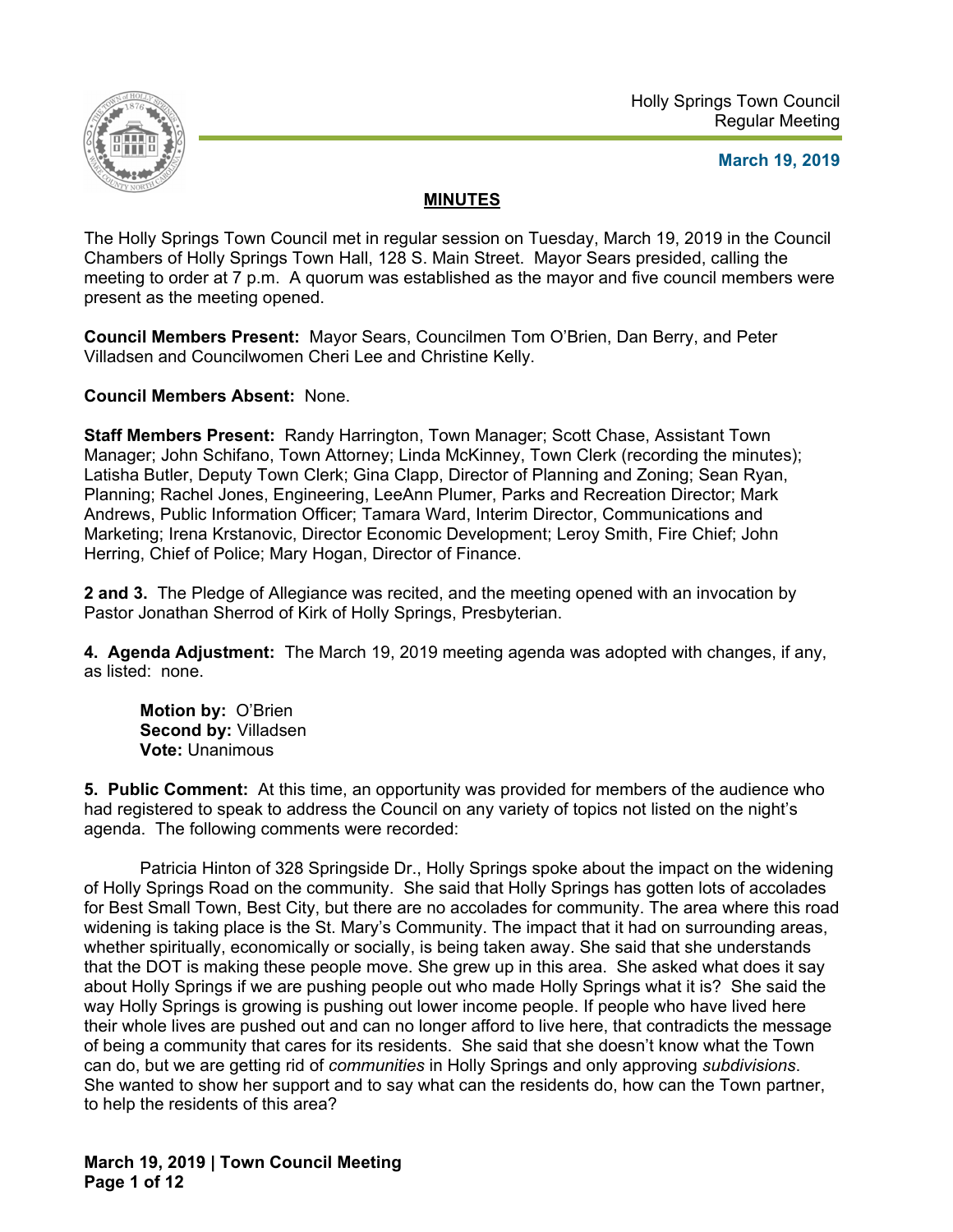

## **March 19, 2019**

# **MINUTES**

The Holly Springs Town Council met in regular session on Tuesday, March 19, 2019 in the Council Chambers of Holly Springs Town Hall, 128 S. Main Street. Mayor Sears presided, calling the meeting to order at 7 p.m. A quorum was established as the mayor and five council members were present as the meeting opened.

**Council Members Present:** Mayor Sears, Councilmen Tom O'Brien, Dan Berry, and Peter Villadsen and Councilwomen Cheri Lee and Christine Kelly.

**Council Members Absent:** None.

**Staff Members Present:** Randy Harrington, Town Manager; Scott Chase, Assistant Town Manager; John Schifano, Town Attorney; Linda McKinney, Town Clerk (recording the minutes); Latisha Butler, Deputy Town Clerk; Gina Clapp, Director of Planning and Zoning; Sean Ryan, Planning; Rachel Jones, Engineering, LeeAnn Plumer, Parks and Recreation Director; Mark Andrews, Public Information Officer; Tamara Ward, Interim Director, Communications and Marketing; Irena Krstanovic, Director Economic Development; Leroy Smith, Fire Chief; John Herring, Chief of Police; Mary Hogan, Director of Finance.

**2 and 3.** The Pledge of Allegiance was recited, and the meeting opened with an invocation by Pastor Jonathan Sherrod of Kirk of Holly Springs, Presbyterian.

**4. Agenda Adjustment:** The March 19, 2019 meeting agenda was adopted with changes, if any, as listed: none.

**Motion by:** O'Brien **Second by:** Villadsen **Vote:** Unanimous

**5. Public Comment:** At this time, an opportunity was provided for members of the audience who had registered to speak to address the Council on any variety of topics not listed on the night's agenda. The following comments were recorded:

 Patricia Hinton of 328 Springside Dr., Holly Springs spoke about the impact on the widening of Holly Springs Road on the community. She said that Holly Springs has gotten lots of accolades for Best Small Town, Best City, but there are no accolades for community. The area where this road widening is taking place is the St. Mary's Community. The impact that it had on surrounding areas, whether spiritually, economically or socially, is being taken away. She said that she understands that the DOT is making these people move. She grew up in this area. She asked what does it say about Holly Springs if we are pushing people out who made Holly Springs what it is? She said the way Holly Springs is growing is pushing out lower income people. If people who have lived here their whole lives are pushed out and can no longer afford to live here, that contradicts the message of being a community that cares for its residents. She said that she doesn't know what the Town can do, but we are getting rid of *communities* in Holly Springs and only approving *subdivisions*. She wanted to show her support and to say what can the residents do, how can the Town partner, to help the residents of this area?

**March 19, 2019 | Town Council Meeting Page 1 of 12**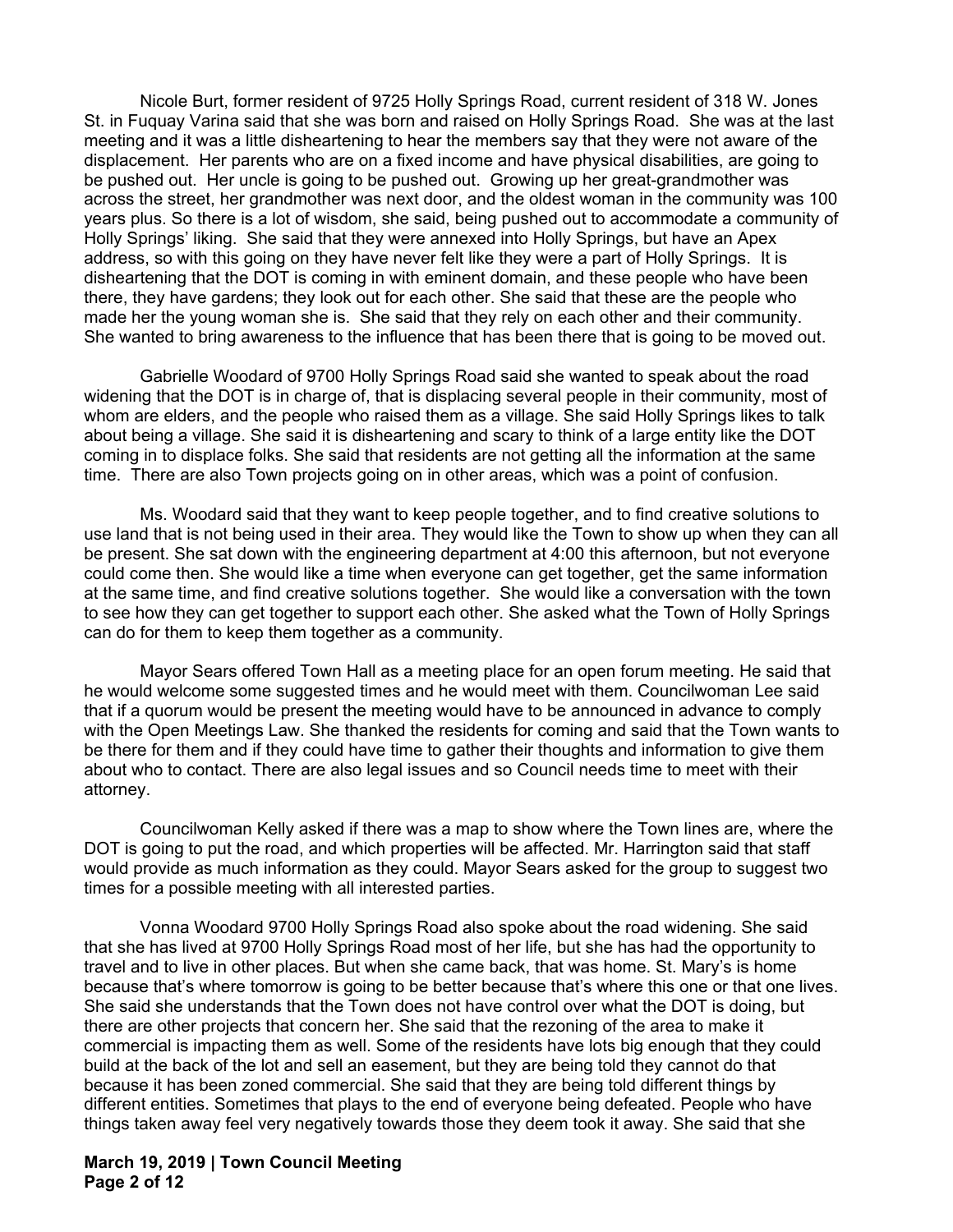Nicole Burt, former resident of 9725 Holly Springs Road, current resident of 318 W. Jones St. in Fuquay Varina said that she was born and raised on Holly Springs Road. She was at the last meeting and it was a little disheartening to hear the members say that they were not aware of the displacement. Her parents who are on a fixed income and have physical disabilities, are going to be pushed out. Her uncle is going to be pushed out. Growing up her great-grandmother was across the street, her grandmother was next door, and the oldest woman in the community was 100 years plus. So there is a lot of wisdom, she said, being pushed out to accommodate a community of Holly Springs' liking. She said that they were annexed into Holly Springs, but have an Apex address, so with this going on they have never felt like they were a part of Holly Springs. It is disheartening that the DOT is coming in with eminent domain, and these people who have been there, they have gardens; they look out for each other. She said that these are the people who made her the young woman she is. She said that they rely on each other and their community. She wanted to bring awareness to the influence that has been there that is going to be moved out.

 Gabrielle Woodard of 9700 Holly Springs Road said she wanted to speak about the road widening that the DOT is in charge of, that is displacing several people in their community, most of whom are elders, and the people who raised them as a village. She said Holly Springs likes to talk about being a village. She said it is disheartening and scary to think of a large entity like the DOT coming in to displace folks. She said that residents are not getting all the information at the same time. There are also Town projects going on in other areas, which was a point of confusion.

 Ms. Woodard said that they want to keep people together, and to find creative solutions to use land that is not being used in their area. They would like the Town to show up when they can all be present. She sat down with the engineering department at 4:00 this afternoon, but not everyone could come then. She would like a time when everyone can get together, get the same information at the same time, and find creative solutions together. She would like a conversation with the town to see how they can get together to support each other. She asked what the Town of Holly Springs can do for them to keep them together as a community.

 Mayor Sears offered Town Hall as a meeting place for an open forum meeting. He said that he would welcome some suggested times and he would meet with them. Councilwoman Lee said that if a quorum would be present the meeting would have to be announced in advance to comply with the Open Meetings Law. She thanked the residents for coming and said that the Town wants to be there for them and if they could have time to gather their thoughts and information to give them about who to contact. There are also legal issues and so Council needs time to meet with their attorney.

 Councilwoman Kelly asked if there was a map to show where the Town lines are, where the DOT is going to put the road, and which properties will be affected. Mr. Harrington said that staff would provide as much information as they could. Mayor Sears asked for the group to suggest two times for a possible meeting with all interested parties.

 Vonna Woodard 9700 Holly Springs Road also spoke about the road widening. She said that she has lived at 9700 Holly Springs Road most of her life, but she has had the opportunity to travel and to live in other places. But when she came back, that was home. St. Mary's is home because that's where tomorrow is going to be better because that's where this one or that one lives. She said she understands that the Town does not have control over what the DOT is doing, but there are other projects that concern her. She said that the rezoning of the area to make it commercial is impacting them as well. Some of the residents have lots big enough that they could build at the back of the lot and sell an easement, but they are being told they cannot do that because it has been zoned commercial. She said that they are being told different things by different entities. Sometimes that plays to the end of everyone being defeated. People who have things taken away feel very negatively towards those they deem took it away. She said that she

**March 19, 2019 | Town Council Meeting Page 2 of 12**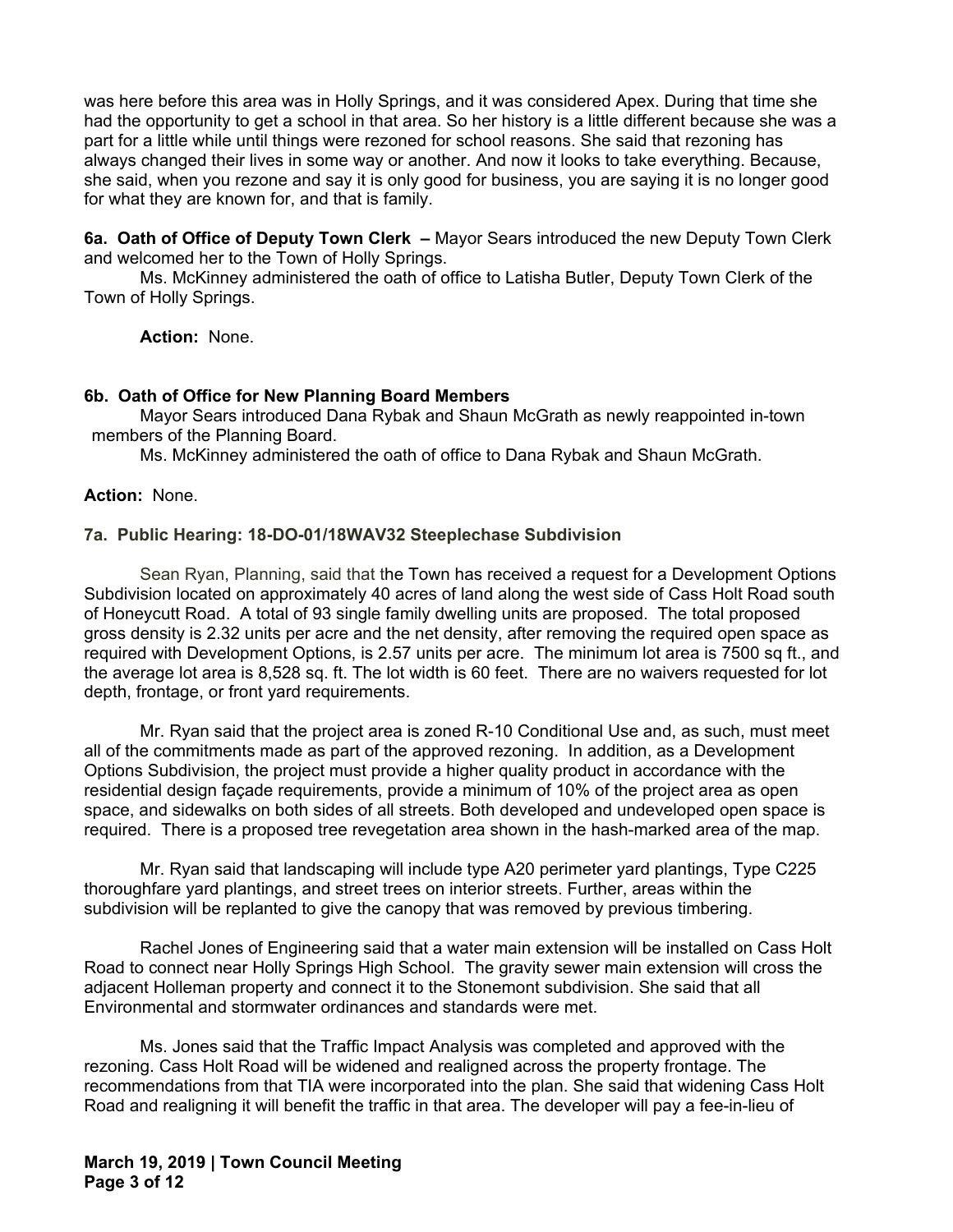was here before this area was in Holly Springs, and it was considered Apex. During that time she had the opportunity to get a school in that area. So her history is a little different because she was a part for a little while until things were rezoned for school reasons. She said that rezoning has always changed their lives in some way or another. And now it looks to take everything. Because, she said, when you rezone and say it is only good for business, you are saying it is no longer good for what they are known for, and that is family.

**6a. Oath of Office of Deputy Town Clerk –** Mayor Sears introduced the new Deputy Town Clerk and welcomed her to the Town of Holly Springs.

Ms. McKinney administered the oath of office to Latisha Butler, Deputy Town Clerk of the Town of Holly Springs.

**Action:** None.

#### **6b. Oath of Office for New Planning Board Members**

 Mayor Sears introduced Dana Rybak and Shaun McGrath as newly reappointed in-town members of the Planning Board.

Ms. McKinney administered the oath of office to Dana Rybak and Shaun McGrath.

#### **Action:** None.

#### **7a. Public Hearing: 18-DO-01/18WAV32 Steeplechase Subdivision**

 Sean Ryan, Planning, said that the Town has received a request for a Development Options Subdivision located on approximately 40 acres of land along the west side of Cass Holt Road south of Honeycutt Road. A total of 93 single family dwelling units are proposed. The total proposed gross density is 2.32 units per acre and the net density, after removing the required open space as required with Development Options, is 2.57 units per acre. The minimum lot area is 7500 sq ft., and the average lot area is 8,528 sq. ft. The lot width is 60 feet. There are no waivers requested for lot depth, frontage, or front yard requirements.

Mr. Ryan said that the project area is zoned R-10 Conditional Use and, as such, must meet all of the commitments made as part of the approved rezoning. In addition, as a Development Options Subdivision, the project must provide a higher quality product in accordance with the residential design façade requirements, provide a minimum of 10% of the project area as open space, and sidewalks on both sides of all streets. Both developed and undeveloped open space is required. There is a proposed tree revegetation area shown in the hash-marked area of the map.

Mr. Ryan said that landscaping will include type A20 perimeter yard plantings, Type C225 thoroughfare yard plantings, and street trees on interior streets. Further, areas within the subdivision will be replanted to give the canopy that was removed by previous timbering.

Rachel Jones of Engineering said that a water main extension will be installed on Cass Holt Road to connect near Holly Springs High School. The gravity sewer main extension will cross the adjacent Holleman property and connect it to the Stonemont subdivision. She said that all Environmental and stormwater ordinances and standards were met.

Ms. Jones said that the Traffic Impact Analysis was completed and approved with the rezoning. Cass Holt Road will be widened and realigned across the property frontage. The recommendations from that TIA were incorporated into the plan. She said that widening Cass Holt Road and realigning it will benefit the traffic in that area. The developer will pay a fee-in-lieu of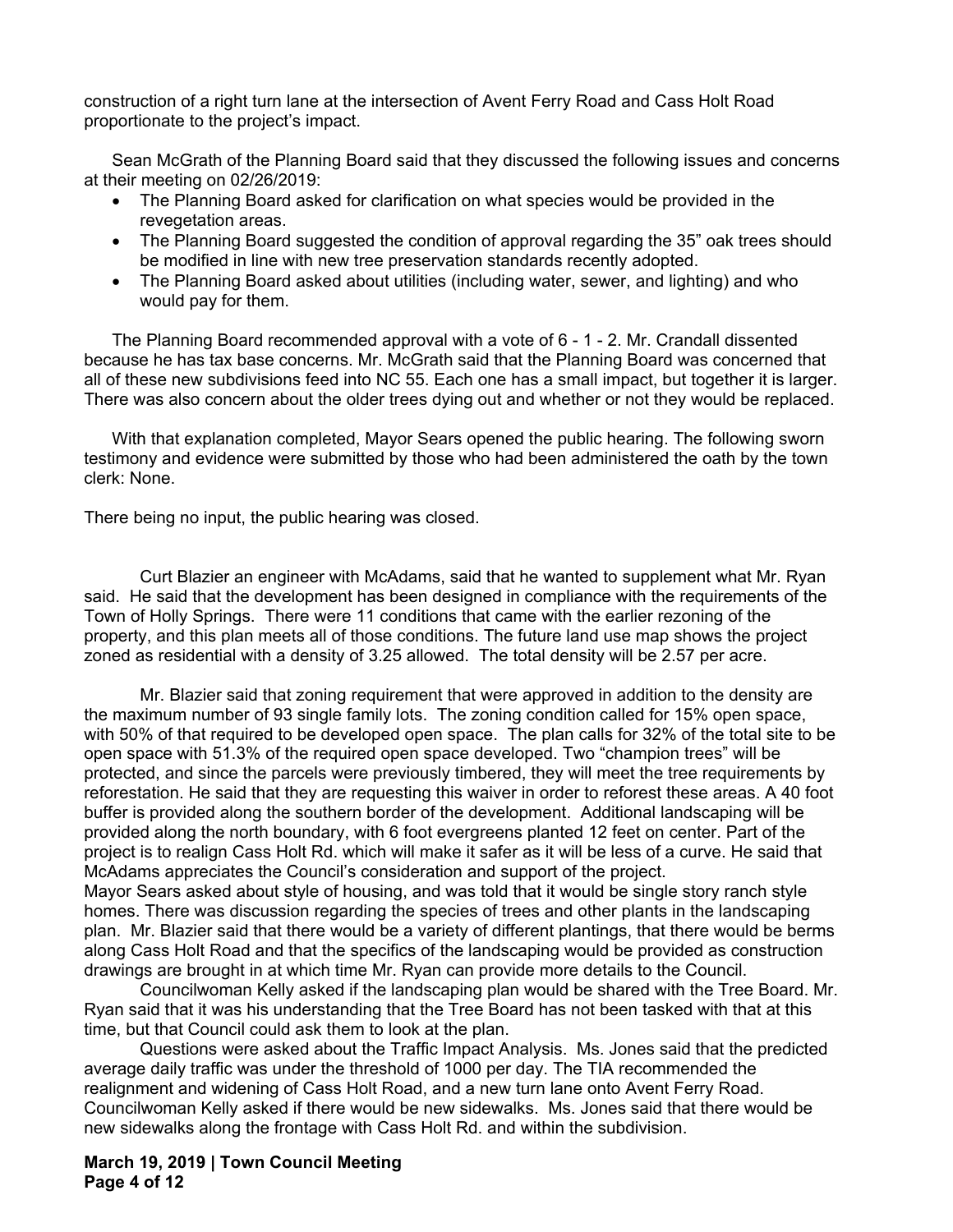construction of a right turn lane at the intersection of Avent Ferry Road and Cass Holt Road proportionate to the project's impact.

Sean McGrath of the Planning Board said that they discussed the following issues and concerns at their meeting on 02/26/2019:

- The Planning Board asked for clarification on what species would be provided in the revegetation areas.
- The Planning Board suggested the condition of approval regarding the 35" oak trees should be modified in line with new tree preservation standards recently adopted.
- The Planning Board asked about utilities (including water, sewer, and lighting) and who would pay for them.

The Planning Board recommended approval with a vote of 6 - 1 - 2. Mr. Crandall dissented because he has tax base concerns. Mr. McGrath said that the Planning Board was concerned that all of these new subdivisions feed into NC 55. Each one has a small impact, but together it is larger. There was also concern about the older trees dying out and whether or not they would be replaced.

With that explanation completed, Mayor Sears opened the public hearing. The following sworn testimony and evidence were submitted by those who had been administered the oath by the town clerk: None.

There being no input, the public hearing was closed.

Curt Blazier an engineer with McAdams, said that he wanted to supplement what Mr. Ryan said. He said that the development has been designed in compliance with the requirements of the Town of Holly Springs. There were 11 conditions that came with the earlier rezoning of the property, and this plan meets all of those conditions. The future land use map shows the project zoned as residential with a density of 3.25 allowed. The total density will be 2.57 per acre.

Mr. Blazier said that zoning requirement that were approved in addition to the density are the maximum number of 93 single family lots. The zoning condition called for 15% open space, with 50% of that required to be developed open space. The plan calls for 32% of the total site to be open space with 51.3% of the required open space developed. Two "champion trees" will be protected, and since the parcels were previously timbered, they will meet the tree requirements by reforestation. He said that they are requesting this waiver in order to reforest these areas. A 40 foot buffer is provided along the southern border of the development. Additional landscaping will be provided along the north boundary, with 6 foot evergreens planted 12 feet on center. Part of the project is to realign Cass Holt Rd. which will make it safer as it will be less of a curve. He said that McAdams appreciates the Council's consideration and support of the project. Mayor Sears asked about style of housing, and was told that it would be single story ranch style homes. There was discussion regarding the species of trees and other plants in the landscaping

plan. Mr. Blazier said that there would be a variety of different plantings, that there would be berms along Cass Holt Road and that the specifics of the landscaping would be provided as construction drawings are brought in at which time Mr. Ryan can provide more details to the Council.

Councilwoman Kelly asked if the landscaping plan would be shared with the Tree Board. Mr. Ryan said that it was his understanding that the Tree Board has not been tasked with that at this time, but that Council could ask them to look at the plan.

Questions were asked about the Traffic Impact Analysis. Ms. Jones said that the predicted average daily traffic was under the threshold of 1000 per day. The TIA recommended the realignment and widening of Cass Holt Road, and a new turn lane onto Avent Ferry Road. Councilwoman Kelly asked if there would be new sidewalks. Ms. Jones said that there would be new sidewalks along the frontage with Cass Holt Rd. and within the subdivision.

**March 19, 2019 | Town Council Meeting Page 4 of 12**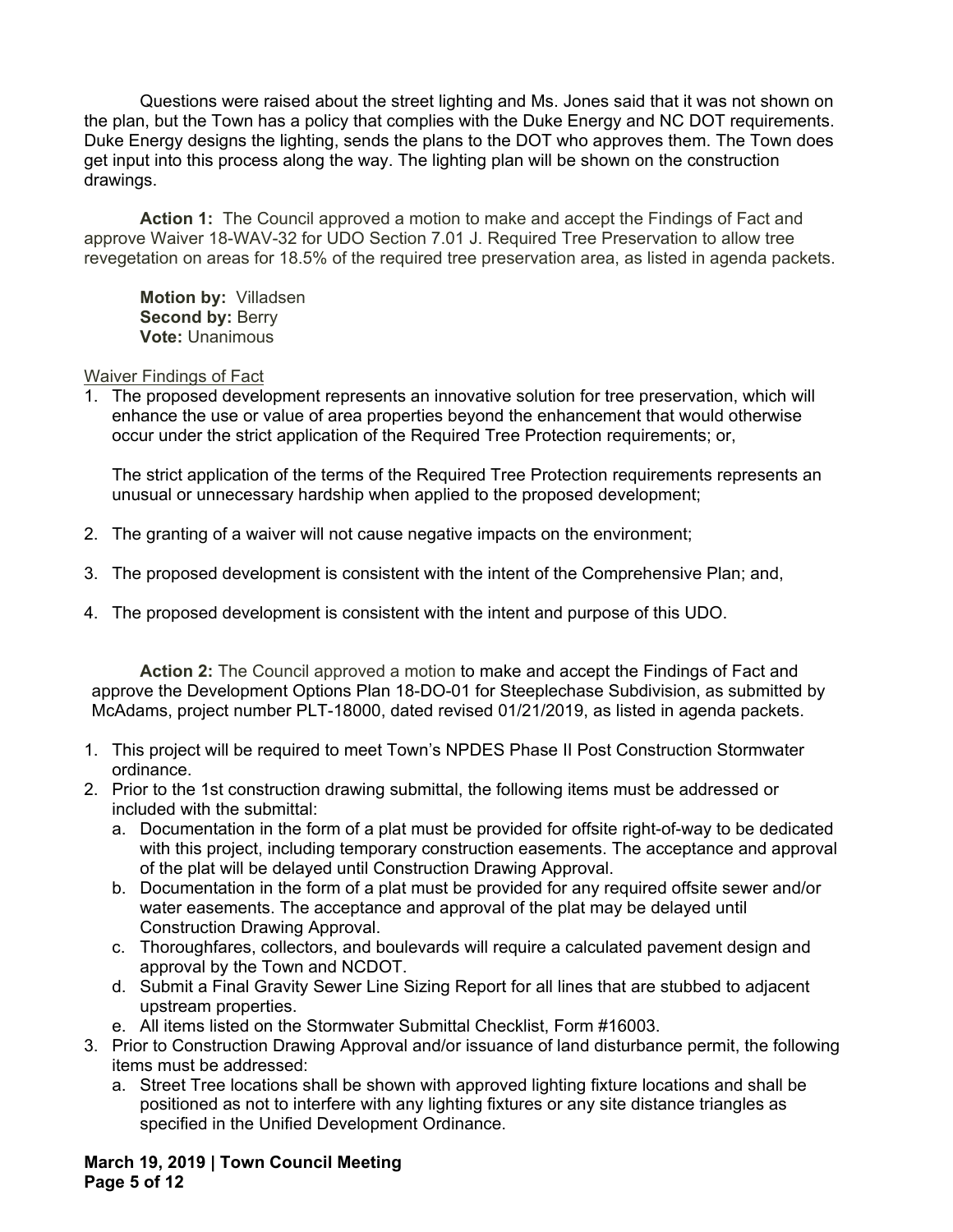Questions were raised about the street lighting and Ms. Jones said that it was not shown on the plan, but the Town has a policy that complies with the Duke Energy and NC DOT requirements. Duke Energy designs the lighting, sends the plans to the DOT who approves them. The Town does get input into this process along the way. The lighting plan will be shown on the construction drawings.

**Action 1:** The Council approved a motion to make and accept the Findings of Fact and approve Waiver 18-WAV-32 for UDO Section 7.01 J. Required Tree Preservation to allow tree revegetation on areas for 18.5% of the required tree preservation area, as listed in agenda packets.

**Motion by:** Villadsen **Second by: Berry Vote:** Unanimous

## Waiver Findings of Fact

1. The proposed development represents an innovative solution for tree preservation, which will enhance the use or value of area properties beyond the enhancement that would otherwise occur under the strict application of the Required Tree Protection requirements; or,

The strict application of the terms of the Required Tree Protection requirements represents an unusual or unnecessary hardship when applied to the proposed development;

- 2. The granting of a waiver will not cause negative impacts on the environment;
- 3. The proposed development is consistent with the intent of the Comprehensive Plan; and,
- 4. The proposed development is consistent with the intent and purpose of this UDO.

**Action 2:** The Council approved a motion to make and accept the Findings of Fact and approve the Development Options Plan 18-DO-01 for Steeplechase Subdivision, as submitted by McAdams, project number PLT-18000, dated revised 01/21/2019, as listed in agenda packets.

- 1. This project will be required to meet Town's NPDES Phase II Post Construction Stormwater ordinance.
- 2. Prior to the 1st construction drawing submittal, the following items must be addressed or included with the submittal:
	- a. Documentation in the form of a plat must be provided for offsite right-of-way to be dedicated with this project, including temporary construction easements. The acceptance and approval of the plat will be delayed until Construction Drawing Approval.
	- b. Documentation in the form of a plat must be provided for any required offsite sewer and/or water easements. The acceptance and approval of the plat may be delayed until Construction Drawing Approval.
	- c. Thoroughfares, collectors, and boulevards will require a calculated pavement design and approval by the Town and NCDOT.
	- d. Submit a Final Gravity Sewer Line Sizing Report for all lines that are stubbed to adjacent upstream properties.
	- e. All items listed on the Stormwater Submittal Checklist, Form #16003.
- 3. Prior to Construction Drawing Approval and/or issuance of land disturbance permit, the following items must be addressed:
	- a. Street Tree locations shall be shown with approved lighting fixture locations and shall be positioned as not to interfere with any lighting fixtures or any site distance triangles as specified in the Unified Development Ordinance.

**March 19, 2019 | Town Council Meeting Page 5 of 12**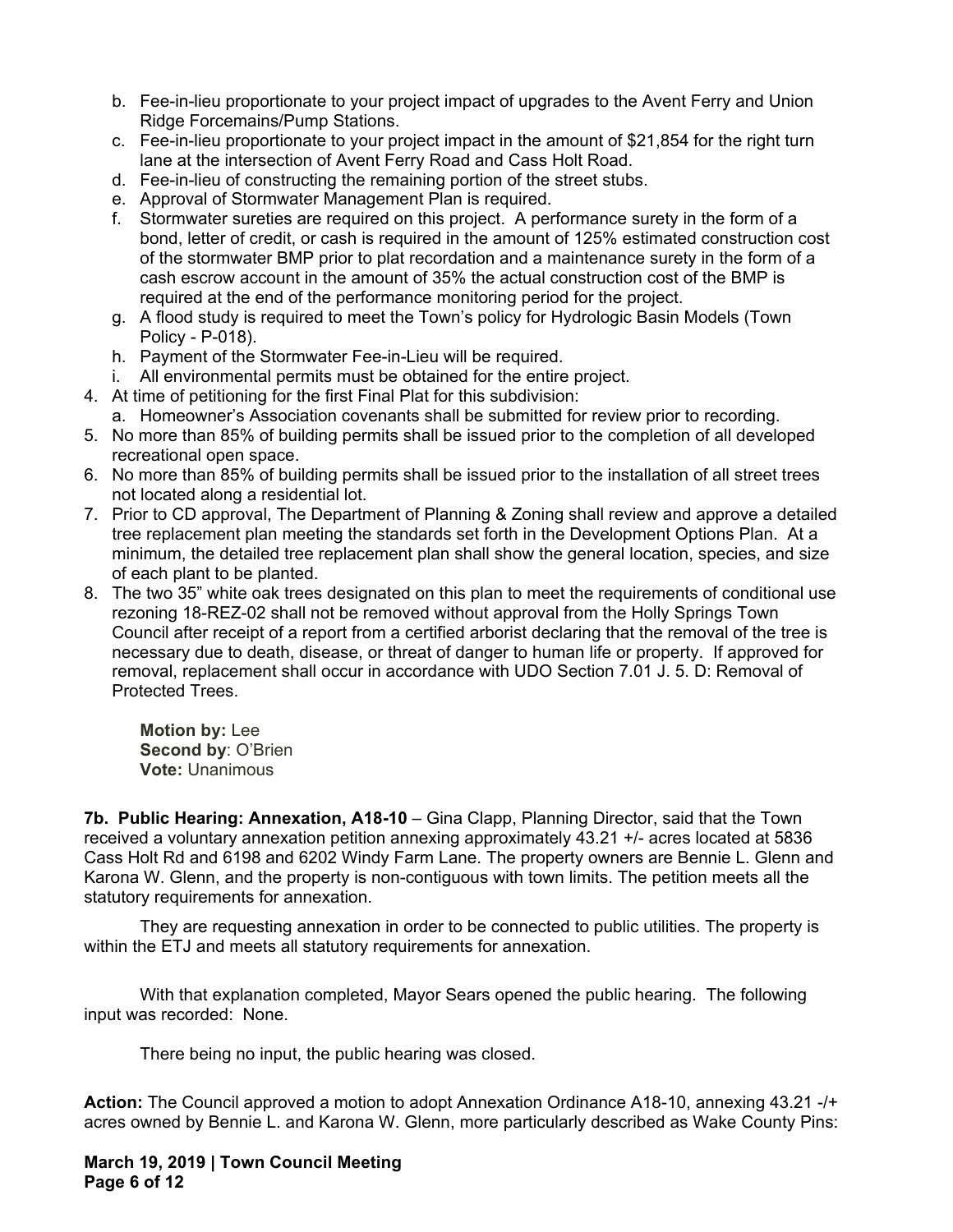- b. Fee-in-lieu proportionate to your project impact of upgrades to the Avent Ferry and Union Ridge Forcemains/Pump Stations.
- c. Fee-in-lieu proportionate to your project impact in the amount of \$21,854 for the right turn lane at the intersection of Avent Ferry Road and Cass Holt Road.
- d. Fee-in-lieu of constructing the remaining portion of the street stubs.
- e. Approval of Stormwater Management Plan is required.
- f. Stormwater sureties are required on this project. A performance surety in the form of a bond, letter of credit, or cash is required in the amount of 125% estimated construction cost of the stormwater BMP prior to plat recordation and a maintenance surety in the form of a cash escrow account in the amount of 35% the actual construction cost of the BMP is required at the end of the performance monitoring period for the project.
- g. A flood study is required to meet the Town's policy for Hydrologic Basin Models (Town Policy - P-018).
- h. Payment of the Stormwater Fee-in-Lieu will be required.
- i. All environmental permits must be obtained for the entire project.
- 4. At time of petitioning for the first Final Plat for this subdivision:
	- a. Homeowner's Association covenants shall be submitted for review prior to recording.
- 5. No more than 85% of building permits shall be issued prior to the completion of all developed recreational open space.
- 6. No more than 85% of building permits shall be issued prior to the installation of all street trees not located along a residential lot.
- 7. Prior to CD approval, The Department of Planning & Zoning shall review and approve a detailed tree replacement plan meeting the standards set forth in the Development Options Plan. At a minimum, the detailed tree replacement plan shall show the general location, species, and size of each plant to be planted.
- 8. The two 35" white oak trees designated on this plan to meet the requirements of conditional use rezoning 18-REZ-02 shall not be removed without approval from the Holly Springs Town Council after receipt of a report from a certified arborist declaring that the removal of the tree is necessary due to death, disease, or threat of danger to human life or property. If approved for removal, replacement shall occur in accordance with UDO Section 7.01 J. 5. D: Removal of Protected Trees.

**Motion by:** Lee **Second by**: O'Brien **Vote:** Unanimous

**7b. Public Hearing: Annexation, A18-10** – Gina Clapp, Planning Director, said that the Town received a voluntary annexation petition annexing approximately 43.21 +/- acres located at 5836 Cass Holt Rd and 6198 and 6202 Windy Farm Lane. The property owners are Bennie L. Glenn and Karona W. Glenn, and the property is non-contiguous with town limits. The petition meets all the statutory requirements for annexation.

They are requesting annexation in order to be connected to public utilities. The property is within the ETJ and meets all statutory requirements for annexation.

With that explanation completed, Mayor Sears opened the public hearing. The following input was recorded: None.

There being no input, the public hearing was closed.

**Action:** The Council approved a motion to adopt Annexation Ordinance A18-10, annexing 43.21 -/+ acres owned by Bennie L. and Karona W. Glenn, more particularly described as Wake County Pins:

**March 19, 2019 | Town Council Meeting Page 6 of 12**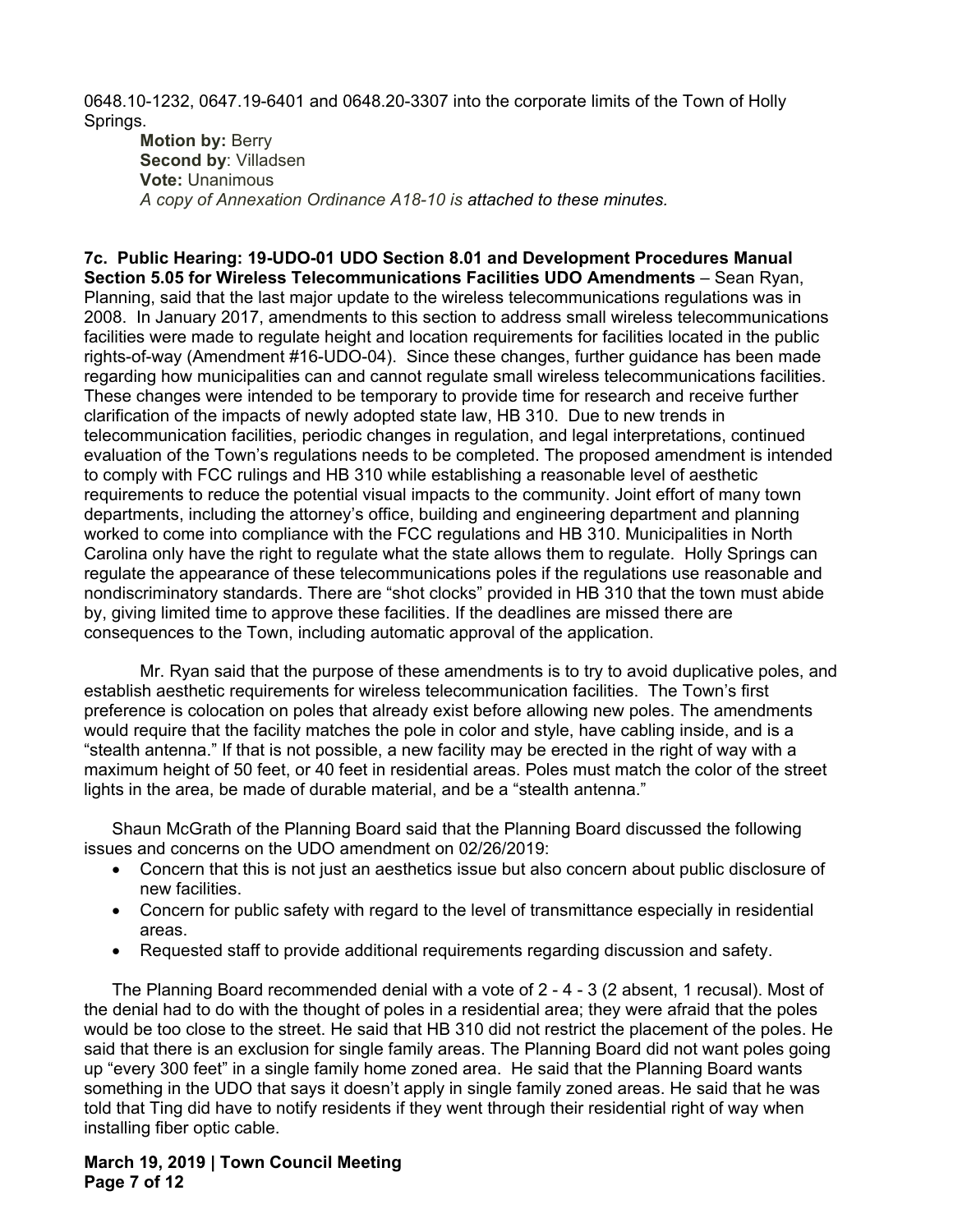0648.10-1232, 0647.19-6401 and 0648.20-3307 into the corporate limits of the Town of Holly Springs.

**Motion by: Berry Second by**: Villadsen **Vote:** Unanimous *A copy of Annexation Ordinance A18-10 is attached to these minutes.* 

**7c. Public Hearing: 19-UDO-01 UDO Section 8.01 and Development Procedures Manual Section 5.05 for Wireless Telecommunications Facilities UDO Amendments** – Sean Ryan, Planning, said that the last major update to the wireless telecommunications regulations was in 2008. In January 2017, amendments to this section to address small wireless telecommunications facilities were made to regulate height and location requirements for facilities located in the public rights-of-way (Amendment #16-UDO-04). Since these changes, further guidance has been made regarding how municipalities can and cannot regulate small wireless telecommunications facilities. These changes were intended to be temporary to provide time for research and receive further clarification of the impacts of newly adopted state law, HB 310. Due to new trends in telecommunication facilities, periodic changes in regulation, and legal interpretations, continued evaluation of the Town's regulations needs to be completed. The proposed amendment is intended to comply with FCC rulings and HB 310 while establishing a reasonable level of aesthetic requirements to reduce the potential visual impacts to the community. Joint effort of many town departments, including the attorney's office, building and engineering department and planning worked to come into compliance with the FCC regulations and HB 310. Municipalities in North Carolina only have the right to regulate what the state allows them to regulate. Holly Springs can regulate the appearance of these telecommunications poles if the regulations use reasonable and nondiscriminatory standards. There are "shot clocks" provided in HB 310 that the town must abide by, giving limited time to approve these facilities. If the deadlines are missed there are consequences to the Town, including automatic approval of the application.

Mr. Ryan said that the purpose of these amendments is to try to avoid duplicative poles, and establish aesthetic requirements for wireless telecommunication facilities. The Town's first preference is colocation on poles that already exist before allowing new poles. The amendments would require that the facility matches the pole in color and style, have cabling inside, and is a "stealth antenna." If that is not possible, a new facility may be erected in the right of way with a maximum height of 50 feet, or 40 feet in residential areas. Poles must match the color of the street lights in the area, be made of durable material, and be a "stealth antenna."

Shaun McGrath of the Planning Board said that the Planning Board discussed the following issues and concerns on the UDO amendment on 02/26/2019:

- Concern that this is not just an aesthetics issue but also concern about public disclosure of new facilities.
- Concern for public safety with regard to the level of transmittance especially in residential areas.
- Requested staff to provide additional requirements regarding discussion and safety.

The Planning Board recommended denial with a vote of 2 - 4 - 3 (2 absent, 1 recusal). Most of the denial had to do with the thought of poles in a residential area; they were afraid that the poles would be too close to the street. He said that HB 310 did not restrict the placement of the poles. He said that there is an exclusion for single family areas. The Planning Board did not want poles going up "every 300 feet" in a single family home zoned area. He said that the Planning Board wants something in the UDO that says it doesn't apply in single family zoned areas. He said that he was told that Ting did have to notify residents if they went through their residential right of way when installing fiber optic cable.

## **March 19, 2019 | Town Council Meeting Page 7 of 12**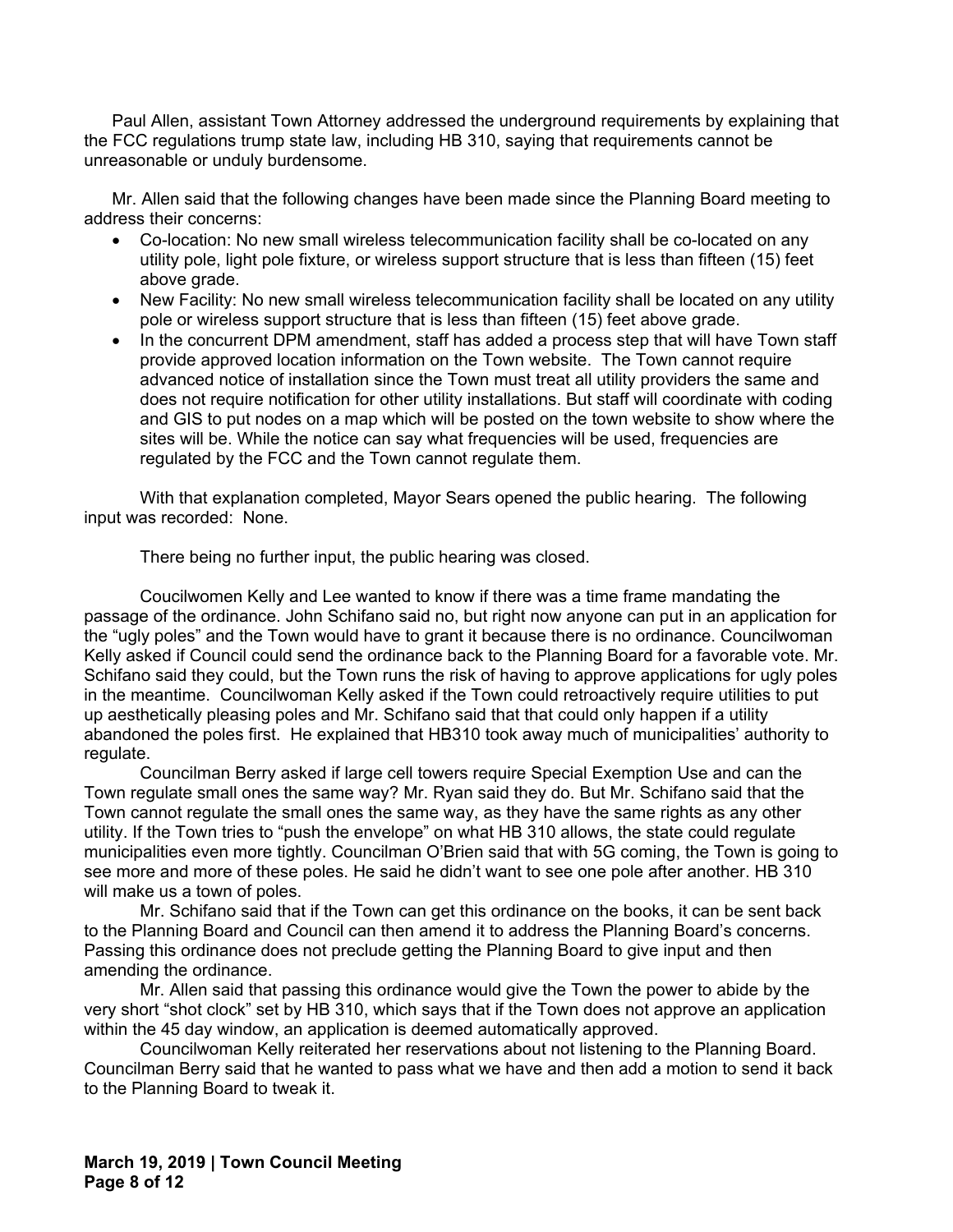Paul Allen, assistant Town Attorney addressed the underground requirements by explaining that the FCC regulations trump state law, including HB 310, saying that requirements cannot be unreasonable or unduly burdensome.

Mr. Allen said that the following changes have been made since the Planning Board meeting to address their concerns:

- Co-location: No new small wireless telecommunication facility shall be co-located on any utility pole, light pole fixture, or wireless support structure that is less than fifteen (15) feet above grade.
- New Facility: No new small wireless telecommunication facility shall be located on any utility pole or wireless support structure that is less than fifteen (15) feet above grade.
- In the concurrent DPM amendment, staff has added a process step that will have Town staff provide approved location information on the Town website. The Town cannot require advanced notice of installation since the Town must treat all utility providers the same and does not require notification for other utility installations. But staff will coordinate with coding and GIS to put nodes on a map which will be posted on the town website to show where the sites will be. While the notice can say what frequencies will be used, frequencies are regulated by the FCC and the Town cannot regulate them.

With that explanation completed, Mayor Sears opened the public hearing. The following input was recorded: None.

There being no further input, the public hearing was closed.

Coucilwomen Kelly and Lee wanted to know if there was a time frame mandating the passage of the ordinance. John Schifano said no, but right now anyone can put in an application for the "ugly poles" and the Town would have to grant it because there is no ordinance. Councilwoman Kelly asked if Council could send the ordinance back to the Planning Board for a favorable vote. Mr. Schifano said they could, but the Town runs the risk of having to approve applications for ugly poles in the meantime. Councilwoman Kelly asked if the Town could retroactively require utilities to put up aesthetically pleasing poles and Mr. Schifano said that that could only happen if a utility abandoned the poles first. He explained that HB310 took away much of municipalities' authority to regulate.

Councilman Berry asked if large cell towers require Special Exemption Use and can the Town regulate small ones the same way? Mr. Ryan said they do. But Mr. Schifano said that the Town cannot regulate the small ones the same way, as they have the same rights as any other utility. If the Town tries to "push the envelope" on what HB 310 allows, the state could regulate municipalities even more tightly. Councilman O'Brien said that with 5G coming, the Town is going to see more and more of these poles. He said he didn't want to see one pole after another. HB 310 will make us a town of poles.

Mr. Schifano said that if the Town can get this ordinance on the books, it can be sent back to the Planning Board and Council can then amend it to address the Planning Board's concerns. Passing this ordinance does not preclude getting the Planning Board to give input and then amending the ordinance.

Mr. Allen said that passing this ordinance would give the Town the power to abide by the very short "shot clock" set by HB 310, which says that if the Town does not approve an application within the 45 day window, an application is deemed automatically approved.

Councilwoman Kelly reiterated her reservations about not listening to the Planning Board. Councilman Berry said that he wanted to pass what we have and then add a motion to send it back to the Planning Board to tweak it.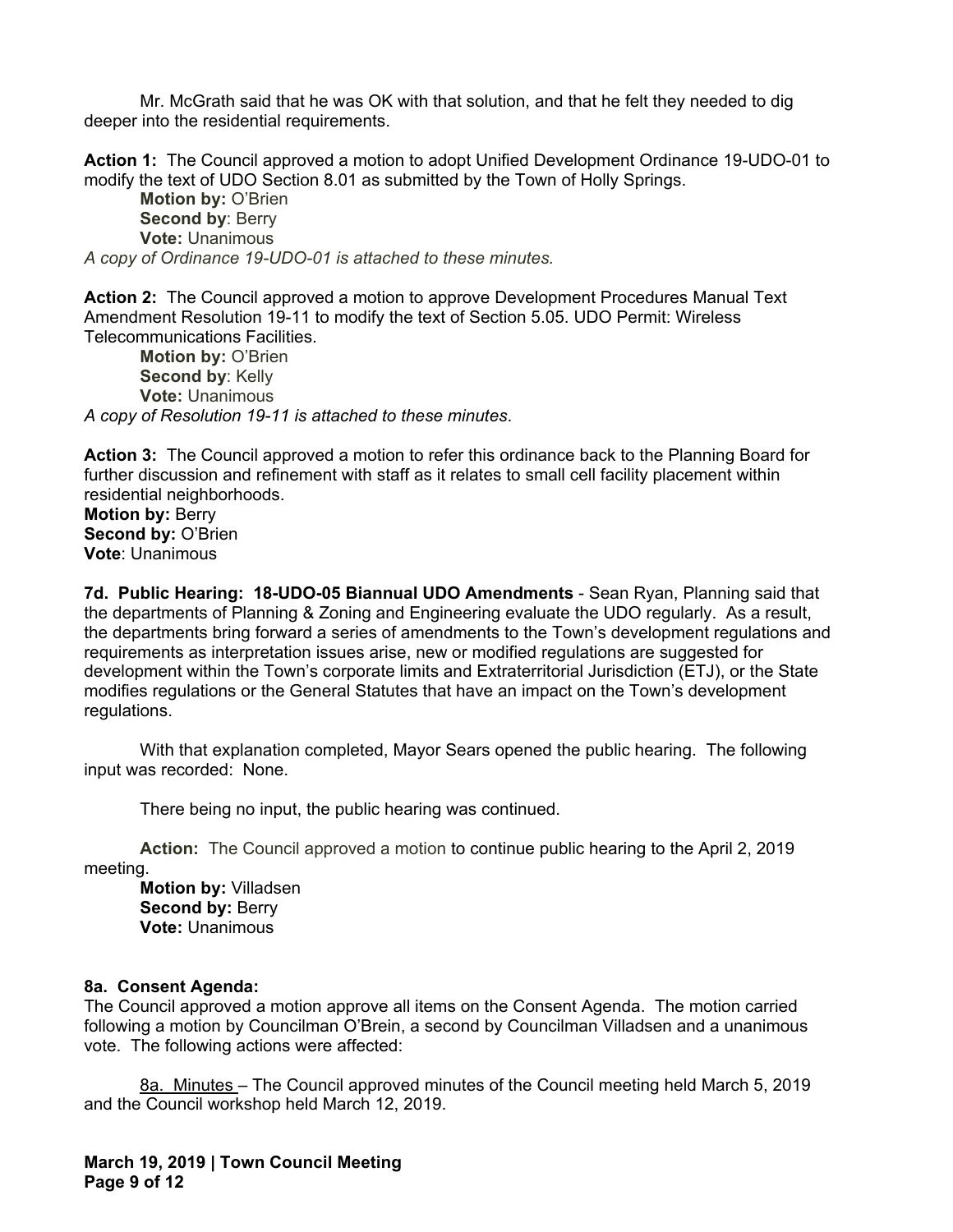Mr. McGrath said that he was OK with that solution, and that he felt they needed to dig deeper into the residential requirements.

**Action 1:** The Council approved a motion to adopt Unified Development Ordinance 19-UDO-01 to modify the text of UDO Section 8.01 as submitted by the Town of Holly Springs.

**Motion by:** O'Brien **Second by**: Berry **Vote:** Unanimous *A copy of Ordinance 19-UDO-01 is attached to these minutes.* 

**Action 2:** The Council approved a motion to approve Development Procedures Manual Text Amendment Resolution 19-11 to modify the text of Section 5.05. UDO Permit: Wireless Telecommunications Facilities.

**Motion by:** O'Brien **Second by: Kelly Vote:** Unanimous *A copy of Resolution 19-11 is attached to these minutes*.

**Action 3:** The Council approved a motion to refer this ordinance back to the Planning Board for further discussion and refinement with staff as it relates to small cell facility placement within residential neighborhoods.

**Motion by:** Berry **Second by:** O'Brien **Vote**: Unanimous

**7d. Public Hearing: 18-UDO-05 Biannual UDO Amendments** - Sean Ryan, Planning said that the departments of Planning & Zoning and Engineering evaluate the UDO regularly. As a result, the departments bring forward a series of amendments to the Town's development regulations and requirements as interpretation issues arise, new or modified regulations are suggested for development within the Town's corporate limits and Extraterritorial Jurisdiction (ETJ), or the State modifies regulations or the General Statutes that have an impact on the Town's development regulations.

With that explanation completed, Mayor Sears opened the public hearing. The following input was recorded: None.

There being no input, the public hearing was continued.

**Action:** The Council approved a motion to continue public hearing to the April 2, 2019 meeting.

**Motion by:** Villadsen **Second by: Berry Vote:** Unanimous

# **8a. Consent Agenda:**

The Council approved a motion approve all items on the Consent Agenda. The motion carried following a motion by Councilman O'Brein, a second by Councilman Villadsen and a unanimous vote. The following actions were affected:

8a. Minutes – The Council approved minutes of the Council meeting held March 5, 2019 and the Council workshop held March 12, 2019.

**March 19, 2019 | Town Council Meeting Page 9 of 12**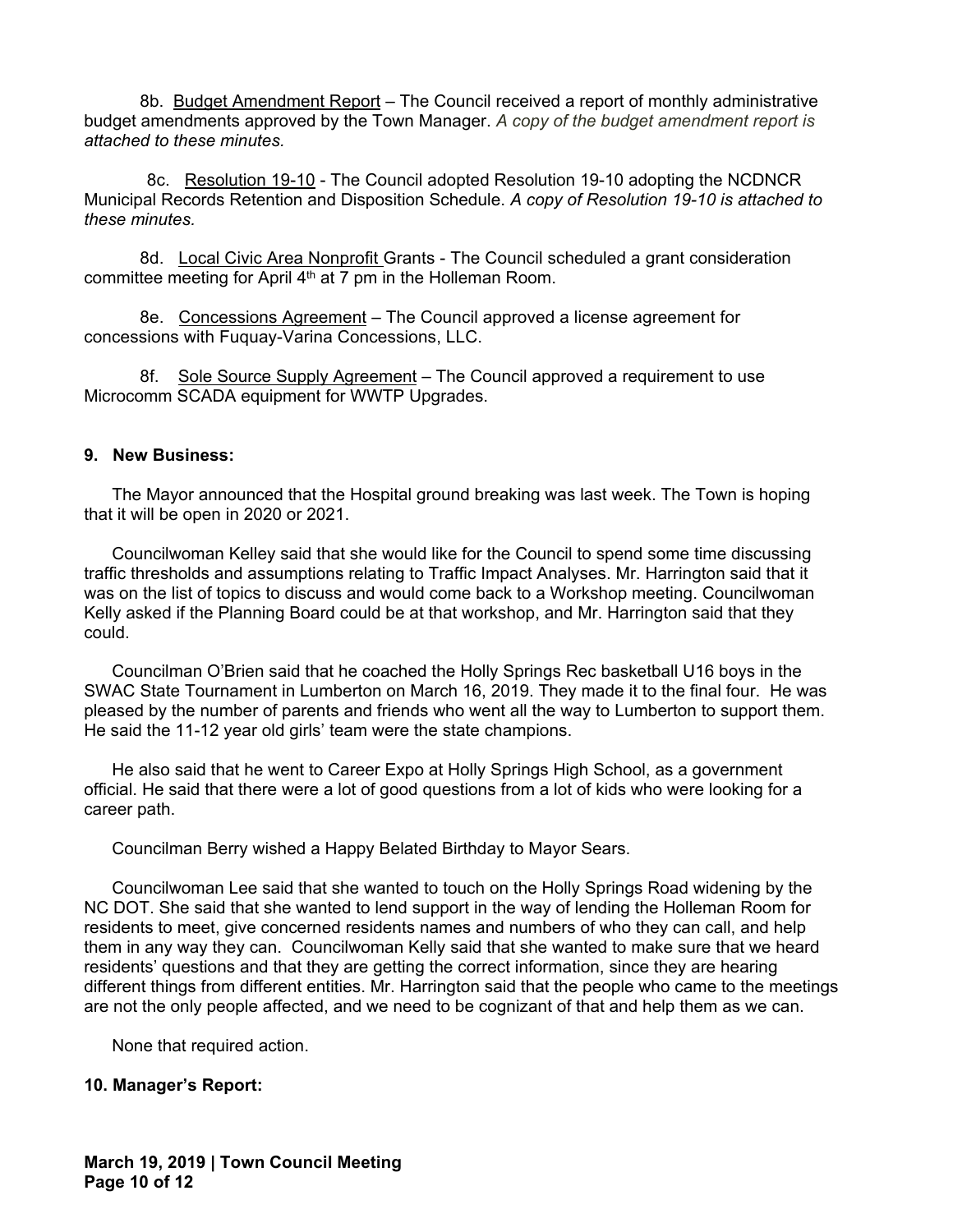8b. Budget Amendment Report – The Council received a report of monthly administrative budget amendments approved by the Town Manager. *A copy of the budget amendment report is attached to these minutes.* 

8c.Resolution 19-10 - The Council adopted Resolution 19-10 adopting the NCDNCR Municipal Records Retention and Disposition Schedule. *A copy of Resolution 19-10 is attached to these minutes.* 

8d.Local Civic Area Nonprofit Grants - The Council scheduled a grant consideration committee meeting for April  $4<sup>th</sup>$  at 7 pm in the Holleman Room.

8e.Concessions Agreement – The Council approved a license agreement for concessions with Fuquay-Varina Concessions, LLC.

8f.Sole Source Supply Agreement – The Council approved a requirement to use Microcomm SCADA equipment for WWTP Upgrades.

## **9. New Business:**

The Mayor announced that the Hospital ground breaking was last week. The Town is hoping that it will be open in 2020 or 2021.

Councilwoman Kelley said that she would like for the Council to spend some time discussing traffic thresholds and assumptions relating to Traffic Impact Analyses. Mr. Harrington said that it was on the list of topics to discuss and would come back to a Workshop meeting. Councilwoman Kelly asked if the Planning Board could be at that workshop, and Mr. Harrington said that they could.

Councilman O'Brien said that he coached the Holly Springs Rec basketball U16 boys in the SWAC State Tournament in Lumberton on March 16, 2019. They made it to the final four. He was pleased by the number of parents and friends who went all the way to Lumberton to support them. He said the 11-12 year old girls' team were the state champions.

He also said that he went to Career Expo at Holly Springs High School, as a government official. He said that there were a lot of good questions from a lot of kids who were looking for a career path.

Councilman Berry wished a Happy Belated Birthday to Mayor Sears.

Councilwoman Lee said that she wanted to touch on the Holly Springs Road widening by the NC DOT. She said that she wanted to lend support in the way of lending the Holleman Room for residents to meet, give concerned residents names and numbers of who they can call, and help them in any way they can. Councilwoman Kelly said that she wanted to make sure that we heard residents' questions and that they are getting the correct information, since they are hearing different things from different entities. Mr. Harrington said that the people who came to the meetings are not the only people affected, and we need to be cognizant of that and help them as we can.

None that required action.

# **10. Manager's Report:**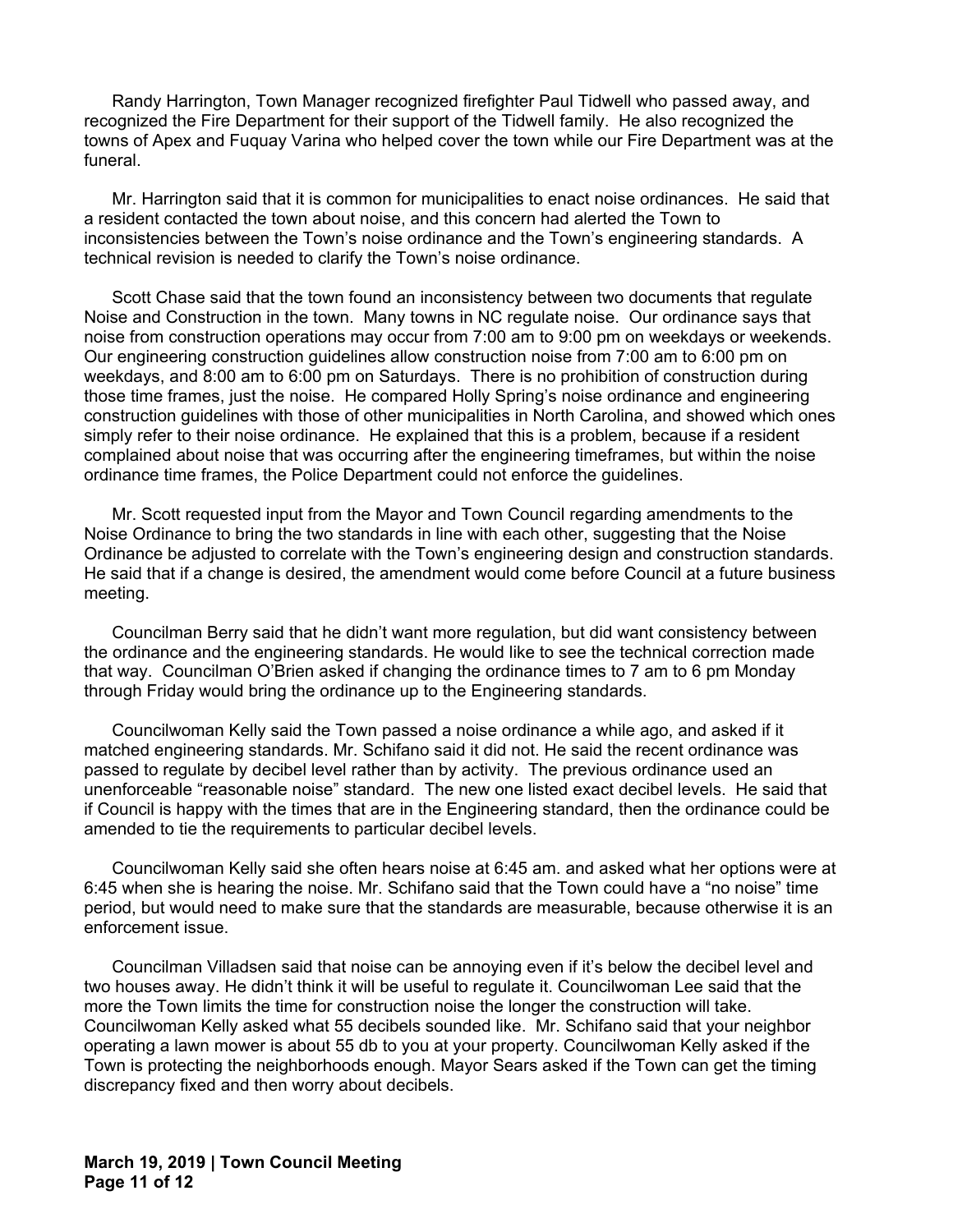Randy Harrington, Town Manager recognized firefighter Paul Tidwell who passed away, and recognized the Fire Department for their support of the Tidwell family. He also recognized the towns of Apex and Fuquay Varina who helped cover the town while our Fire Department was at the funeral.

Mr. Harrington said that it is common for municipalities to enact noise ordinances. He said that a resident contacted the town about noise, and this concern had alerted the Town to inconsistencies between the Town's noise ordinance and the Town's engineering standards. A technical revision is needed to clarify the Town's noise ordinance.

Scott Chase said that the town found an inconsistency between two documents that regulate Noise and Construction in the town. Many towns in NC regulate noise. Our ordinance says that noise from construction operations may occur from 7:00 am to 9:00 pm on weekdays or weekends. Our engineering construction guidelines allow construction noise from 7:00 am to 6:00 pm on weekdays, and 8:00 am to 6:00 pm on Saturdays. There is no prohibition of construction during those time frames, just the noise. He compared Holly Spring's noise ordinance and engineering construction guidelines with those of other municipalities in North Carolina, and showed which ones simply refer to their noise ordinance. He explained that this is a problem, because if a resident complained about noise that was occurring after the engineering timeframes, but within the noise ordinance time frames, the Police Department could not enforce the guidelines.

Mr. Scott requested input from the Mayor and Town Council regarding amendments to the Noise Ordinance to bring the two standards in line with each other, suggesting that the Noise Ordinance be adjusted to correlate with the Town's engineering design and construction standards. He said that if a change is desired, the amendment would come before Council at a future business meeting.

Councilman Berry said that he didn't want more regulation, but did want consistency between the ordinance and the engineering standards. He would like to see the technical correction made that way. Councilman O'Brien asked if changing the ordinance times to 7 am to 6 pm Monday through Friday would bring the ordinance up to the Engineering standards.

Councilwoman Kelly said the Town passed a noise ordinance a while ago, and asked if it matched engineering standards. Mr. Schifano said it did not. He said the recent ordinance was passed to regulate by decibel level rather than by activity. The previous ordinance used an unenforceable "reasonable noise" standard. The new one listed exact decibel levels. He said that if Council is happy with the times that are in the Engineering standard, then the ordinance could be amended to tie the requirements to particular decibel levels.

Councilwoman Kelly said she often hears noise at 6:45 am. and asked what her options were at 6:45 when she is hearing the noise. Mr. Schifano said that the Town could have a "no noise" time period, but would need to make sure that the standards are measurable, because otherwise it is an enforcement issue.

Councilman Villadsen said that noise can be annoying even if it's below the decibel level and two houses away. He didn't think it will be useful to regulate it. Councilwoman Lee said that the more the Town limits the time for construction noise the longer the construction will take. Councilwoman Kelly asked what 55 decibels sounded like. Mr. Schifano said that your neighbor operating a lawn mower is about 55 db to you at your property. Councilwoman Kelly asked if the Town is protecting the neighborhoods enough. Mayor Sears asked if the Town can get the timing discrepancy fixed and then worry about decibels.

**March 19, 2019 | Town Council Meeting Page 11 of 12**